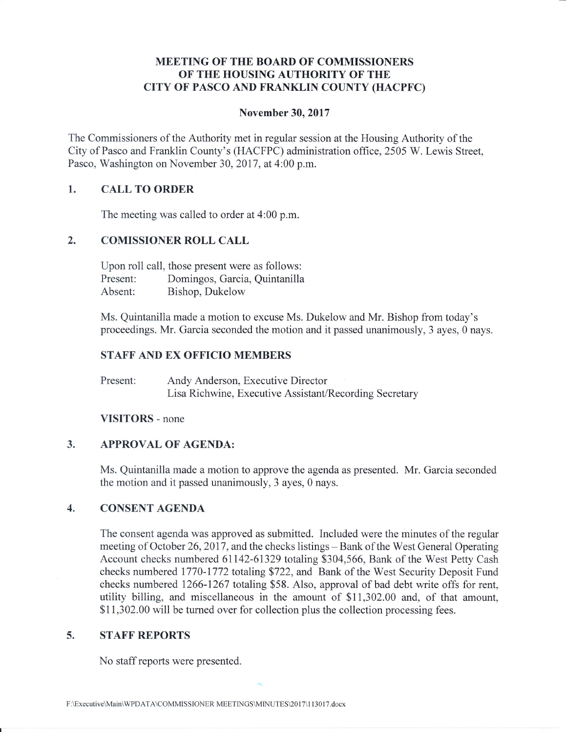# MEETING OF THE BOARD OF COMMISSIONERS OF THE HOUSING AUTHORITY OF THE CITY OF PASCO AND FRANKLIN COUNTY (HACPFC)

### November 30, 2017

The Commissioners of the Authority met in regular session at the Housing Authority of the City of Pasco and Franklin County's (HACFPC) administration office, 2505 W. Lewis Street, Pasco, Washington on November 30, 2017, at 4:00 p.m.

# 1. CALL TO ORDER

The meeting was called to order at 4:00 p.m.

## 2. COMISSIONER ROLL CALL

Upon roll call, those present were as follows: Present: Domingos, Garcia, Quintanilla Absent: Bishop, Dukelow

Ms. Quintanilla made a motion to excuse Ms. Dukelow and Mr. Bishop from today's proceedings. Mr. Garcia seconded the motion and it passed unanimously, 3 ayes, 0 nays.

### STAFF AND EX OFFICIO MEMBERS

Present: Andy Anderson, Executive Director Lisa Richwine, Executive Assistant/Recording Secretary

#### VISITORS - none

# 3. APPROVAL OF AGENDA:

Ms. Quintanilla made a motion to approve the agenda as presented. Mr. Garcia seconded the motion and it passed unanimously, 3 ayes, 0 nays.

# 4. CONSENT AGENDA

The consent agenda was approved as submitted. Included were the minutes of the regular meeting of October 26, 2017, and the checks listings – Bank of the West General Operating Account checks numbered 61142-61329 totaling \$304,566, Bank of the West Petty Cash checks numbered 1770-1772 totaling \$722, and Bank of the West Security Deposit Fund checks numbered 1266-1267 totaling \$58. Also, approval of bad debt write offs for rent, utility billing, and miscellaneous in the amount of \$1I,302.00 and, of that amount, \$11,302.00 will be turned over for collection plus the collection processing fees.

### 5. STAFF REPORTS

No staff reports were presented.